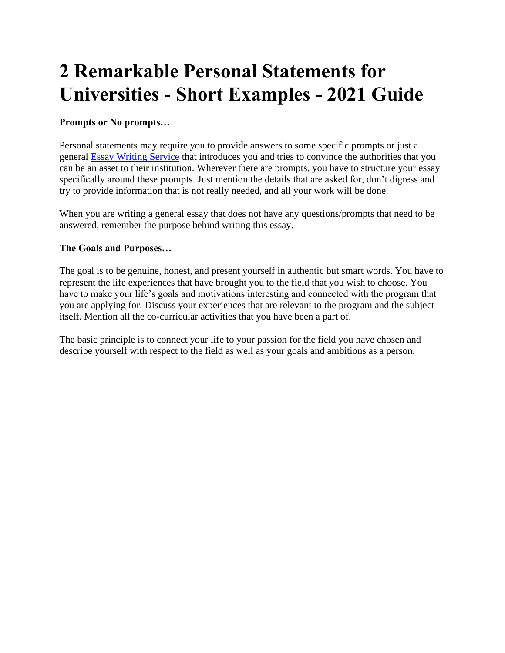# **2 Remarkable Personal Statements for Universities - Short Examples - 2021 Guide**

# **Prompts or No prompts…**

Personal statements may require you to provide answers to some specific prompts or just a general [Essay Writing Service](https://www.myperfectwords.com/) that introduces you and tries to convince the authorities that you can be an asset to their institution. Wherever there are prompts, you have to structure your essay specifically around these prompts. Just mention the details that are asked for, don't digress and try to provide information that is not really needed, and all your work will be done.

When you are writing a general essay that does not have any questions/prompts that need to be answered, remember the purpose behind writing this essay.

## **The Goals and Purposes…**

The goal is to be genuine, honest, and present yourself in authentic but smart words. You have to represent the life experiences that have brought you to the field that you wish to choose. You have to make your life's goals and motivations interesting and connected with the program that you are applying for. Discuss your experiences that are relevant to the program and the subject itself. Mention all the co-curricular activities that you have been a part of.

The basic principle is to connect your life to your passion for the field you have chosen and describe yourself with respect to the field as well as your goals and ambitions as a person.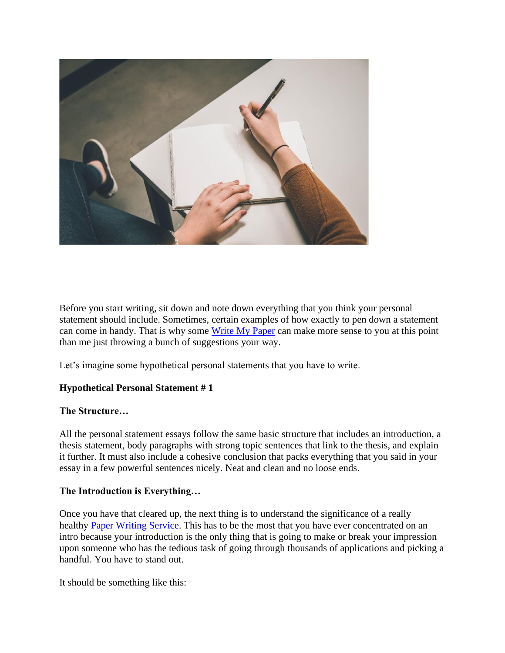

Before you start writing, sit down and note down everything that you think your personal statement should include. Sometimes, certain examples of how exactly to pen down a statement can come in handy. That is why some [Write My Paper](https://www.myperfectwords.com/) can make more sense to you at this point than me just throwing a bunch of suggestions your way.

Let's imagine some hypothetical personal statements that you have to write.

# **Hypothetical Personal Statement # 1**

#### **The Structure…**

All the personal statement essays follow the same basic structure that includes an introduction, a thesis statement, body paragraphs with strong topic sentences that link to the thesis, and explain it further. It must also include a cohesive conclusion that packs everything that you said in your essay in a few powerful sentences nicely. Neat and clean and no loose ends.

#### **The Introduction is Everything…**

Once you have that cleared up, the next thing is to understand the significance of a really healthy [Paper Writing Service.](https://www.myperfectwords.com/) This has to be the most that you have ever concentrated on an intro because your introduction is the only thing that is going to make or break your impression upon someone who has the tedious task of going through thousands of applications and picking a handful. You have to stand out.

It should be something like this: